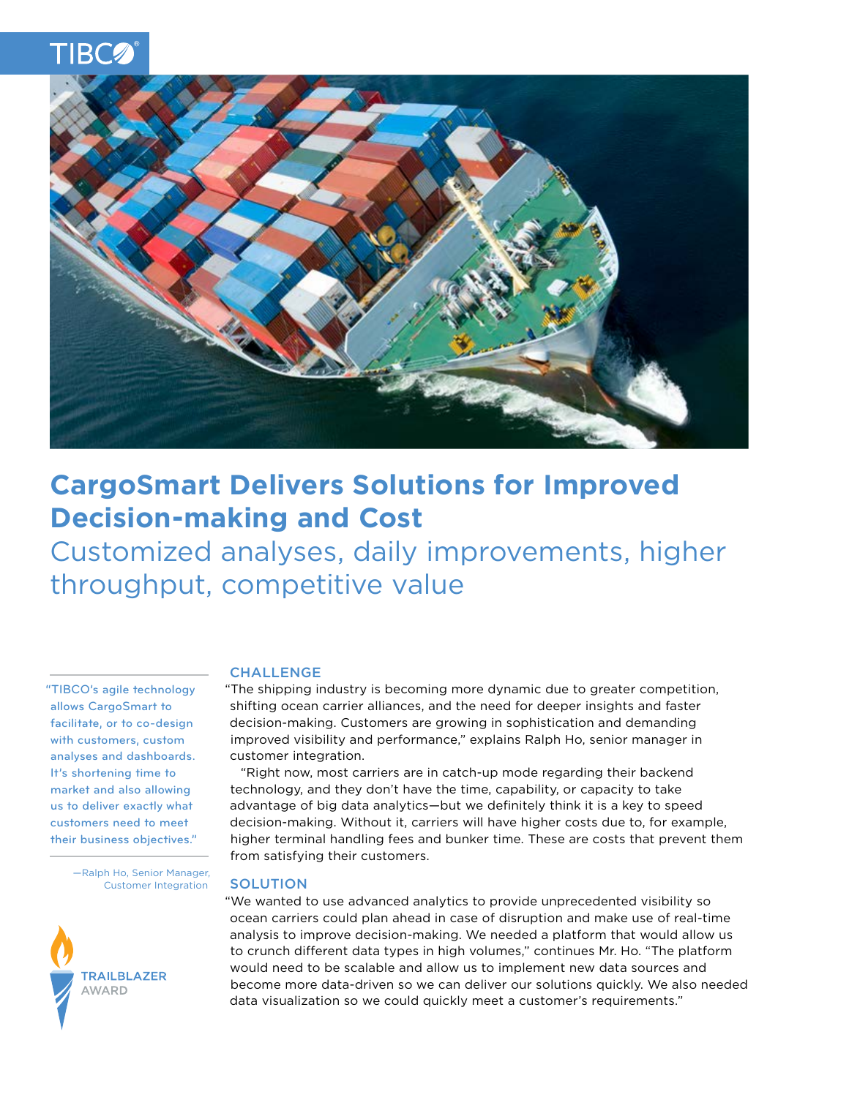



# **CargoSmart Delivers Solutions for Improved Decision-making and Cost**

Customized analyses, daily improvements, higher throughput, competitive value

"TIBCO's agile technology allows CargoSmart to facilitate, or to co-design with customers, custom analyses and dashboards. It's shortening time to market and also allowing us to deliver exactly what customers need to meet their business objectives."

> —Ralph Ho, Senior Manager, Customer Integration



# CHALLENGE

"The shipping industry is becoming more dynamic due to greater competition, shifting ocean carrier alliances, and the need for deeper insights and faster decision-making. Customers are growing in sophistication and demanding improved visibility and performance," explains Ralph Ho, senior manager in customer integration.

"Right now, most carriers are in catch-up mode regarding their backend technology, and they don't have the time, capability, or capacity to take advantage of big data analytics—but we definitely think it is a key to speed decision-making. Without it, carriers will have higher costs due to, for example, higher terminal handling fees and bunker time. These are costs that prevent them from satisfying their customers.

#### **SOLUTION**

"We wanted to use advanced analytics to provide unprecedented visibility so ocean carriers could plan ahead in case of disruption and make use of real-time analysis to improve decision-making. We needed a platform that would allow us to crunch different data types in high volumes," continues Mr. Ho. "The platform would need to be scalable and allow us to implement new data sources and become more data-driven so we can deliver our solutions quickly. We also needed data visualization so we could quickly meet a customer's requirements."